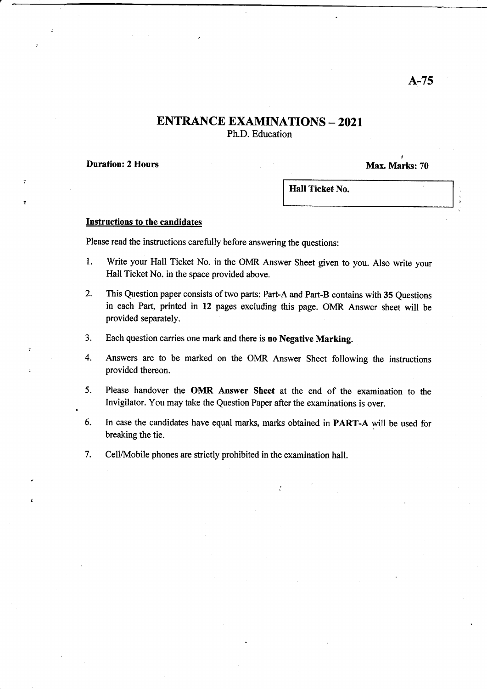### **ENTRANCE EXAMINATIONS - 2021** Ph.D. Education

Duration: 2 Hours

I Max. Marks: 70

Hall Ticket No.

#### Instructions to the candidates

Please read the instructions carefully before answering the questions:

- 1. Write your Hall Ticket No. in the OMR Answer Sheet given to you. Also write your Hall Ticket No. in the space provided above.
- 2. This Question paper consists of two parts: Part-A and Part-B contains with 35 Questions in each Part, printed in 12 pages excluding this page. OMR Answer sheet will be provided separately.
- 3. Each question carries one mark and there is no Negative Marking.
- 4. Answers are to be marked on the OMR Answer Sheet following the instructions provided thereon.
- 5. Please handover the OMR Answer Sheet at the end of the examination to the Invigilator. You may take the Question Paper after the examinations is over.
- 6, In case the candidates have equal marks, marks obtained in PART-A will be used for breaking the tie.
- 7. Cell/Mobile phones are strictly prohibited in the examination hall.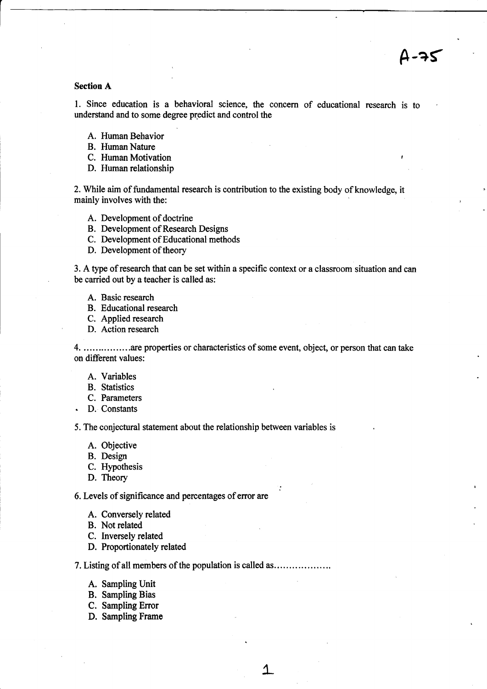# A-qf

#### Section A

l. Since education is a behavioral science, the concern of educational researsh is to understand and to some degree predict and control the

- A. Human Behavior
- B. Human Nature
- C. Human Motivation
- D. Human relationship

2. While aim of fundamental research is contribution to the existing body of knowledge, it mainly involves with the:

- A. Development of doctrine
- B. Development of Research Designs
- C. Development of Educational methods
- D. Development of theory

3. A type of research that can be set within a specific context or a classroom situation and can be carried out by a teacher is called as:

- A. Basic research
- B. Educational research
- C. Applied research
- D. Action research

4. ................are properties or characteristics of some event, object, orperson that can take on different values:

- A. Variables
- B. Statistics
- C. Parameters
- . D. Constants

5. The coqiectural statement about the relationship between variables is

- A. Objective
- B. Design
- C. Hypothesis
- D. Theory

6. Levels of significance and percentages of error are

- A. Conversely related
- B. Not related
- C. Inversely related
- D. Proportionately related

7. Listing of all members of the population is called as.............. ... ..

L

- A. Sampling Unit
- B. Sampling Bias
- C. Sampling Error
- D. Sampling Frame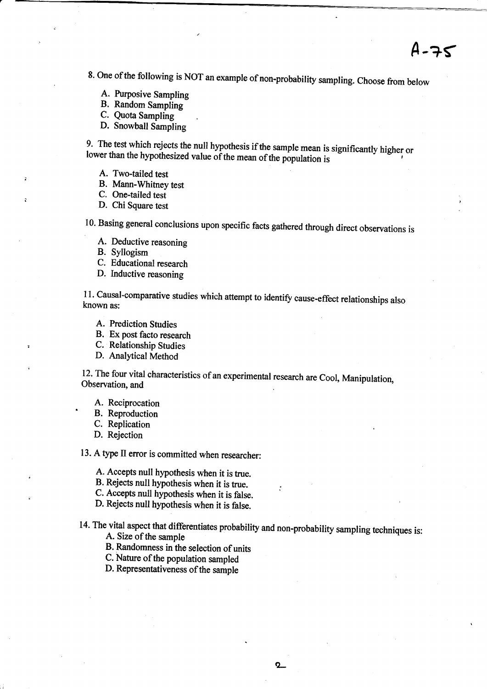$4 - 75$ 

8. One of the following is NOT an example of non-probability sampling. Choose from below

- A. Purposive Sampling
- B. Random Sampling
- C. Quota Sampling
- D. Snowball Sampling

9. The test which rejects the null hypothesis if the sample mean is significantly higher or lower than the hypothesized value of the mean of the population is

A. Two-tailed test

B. Mann-Whitney test

C. One-tailed test

D. Chi Square test

10. Basing general conclusions upon specific facts gathered through direct observations is

- A. Deductive reasoning
- B. Syllogism
- C. Educational research
- D. Inductive reasoning

11. Causal-comparative studies which attempt to identify cause-effect relationships also known as:

- A. Prediction Studies
- B. Ex post facto research
- C. Relationship Studies

D. Analytical Merhod

12. The four vital characteristics of an experimental research are Cool, Manipulation, Observation, and

A. Reciprocation<br>B. Reproduction

C. Replication

D. Rejection

13. A type II error is committed when researcher:

A. Accepts null hypothesis when it is true.

B. Rejects null hypothesis when it is true.

- C. Accepts null hypothesis when it is false.
- D. Rejects null hypothesis when it is false.

14. The vital aspect that differentiates probability and non-probability sampling techniques is: A. Size of the sample

B. Randomness in the selection of units

C. Nature of the population sampled

D. Representativeness of the sample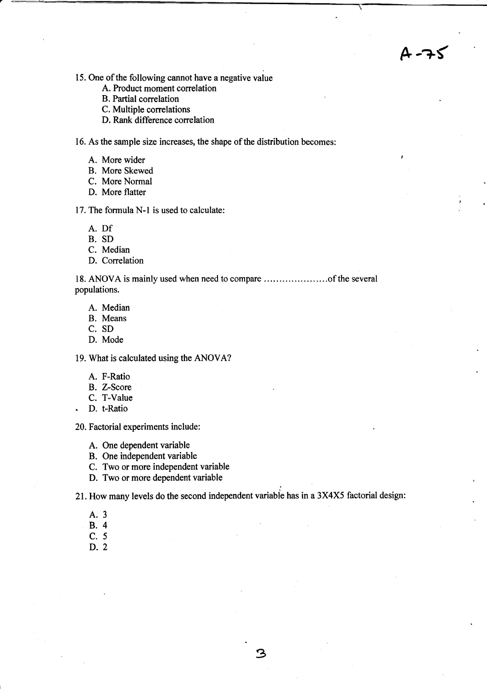$-75$ 

- 15. One of the following cannot have a negative value
	- A. Product moment correlation
	- B. Partial correlation
	- C. Multiple correlations
	- D. Rank difference correlation

16. As the sample size increases, the shape of the distribution becomes:

- A. More wider
- B. More Skewed
- C. More Normal
- D. More flatter

17. The formula N-l is used to calculate:

- A. Df
- B. SD
- C. Median
- D. Correlation

18. ANOVA is mainly used when need to compare ..of the several populations.

- A. Median
- B. Means
- C. SD
- D. Mode

19. What is calculated using the ANOVA?

- A. F-Ratio
- B. Z-Score
- C. T-Value
- . D. t-Ratio

20. Factorial experiments include:

- A. One dependent variable
- B. One independent variable
- C. Two or more independent variable
- D. Two or more dependent variable

21. How many levels do the second independent variabie has in a 3X4X5 factorial design:

- A.3
- 8.4
- c.5
- D.2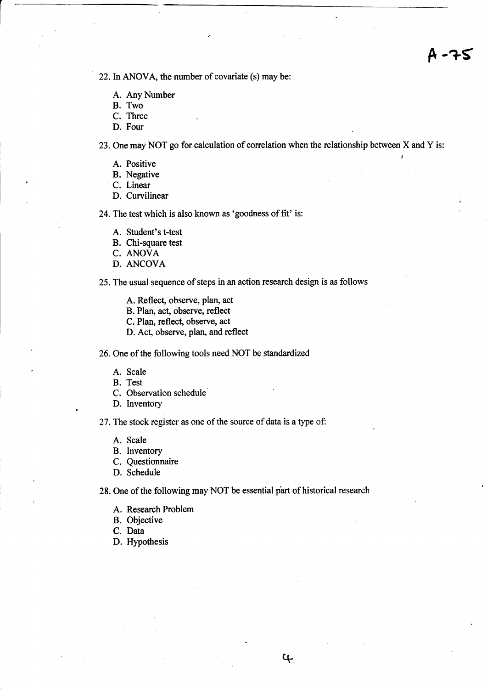22. In ANOVA, the number of covariate (s) may be:

- A. Any Number
- B. Two
- C. Three
- D. Four

23. One may NOT go for calculation of correlation when the relationship between X and Y is:

- A. Positive **Internal and Security** 1986.
- B. Negative
- C. Linear
- D. Curvilinear

24. The test which is also known as 'goodness of fit' is:

- A. Student's t-test
- B. Chi-square test
- C. ANOVA
- D. ANCOVA

25. The usual sequence of steps in an action research design is as follows

- A. Reflect, observe, plan, act
- B. Plan, act, observe, reflect
- C. Plan, reflect, observe, act
- D. Act, observe, plan, and reflect

26. One of the following tools need NOT be standardized

- A. Scale
- B. Test
- C. Observation schedule'
- D. Inventory

27.The stock register as one of the source of data is a type of,

- A. Scale
- B. Inventory
- C. Questionnaire
- D. Schedule

28. One of the following may NOT be essential part of historical research

 $\mathfrak{c}_{\mathfrak{c}}$ 

- A. Research Problem
- B. Objective
- C. Data
- D. Hypothesis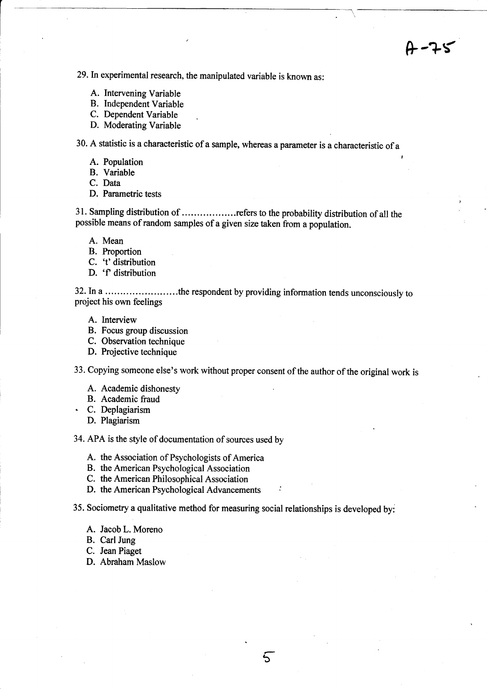F-?s

29.In experimental research, the manipulated variable is known as:

- A. Intervening Variable
- B. Independent Variable
- C. Dependent Variable
- D. Moderating Variable

30. A statistic is a characteristic of a sample, whereas a parameter is a characteristic of <sup>a</sup>

- A. Population
- B. Variable
- C. Data
- D. Parametric tests

31. Sampling distribution of ..................refers to the probability distribution of all the possible means of random samples of a given size taken from a population.

- A. Mean
- B. Proportion
- C. 't'distribution
- D. 'f' distribution

32. In a .........................the respondent by providing information tends unconsciously to project his own feelings

- A. Interview
- B. Focus group discussion
- C. Observation technique
- D. Projective technique

33. Copying someone else's work without proper consent of the author of the original work is

- A. Academic dishonesty
- B. Academic fraud
- C. Deplagiarism
	- D. Plagiarism

34. APA is the style of documentation of sources used by

- A. the Association of Psychologists of America
- B. the American Psychological Association
- C. the American Philosophical Association
- D. the American Psychological Advancements

35. Sociometry a qualitative method for measuring social relationships is developed byi

b

- A. Jacob L. Moreno
- B. Carl Jung
- C. Jean Piaget
- D. Abraham Maslow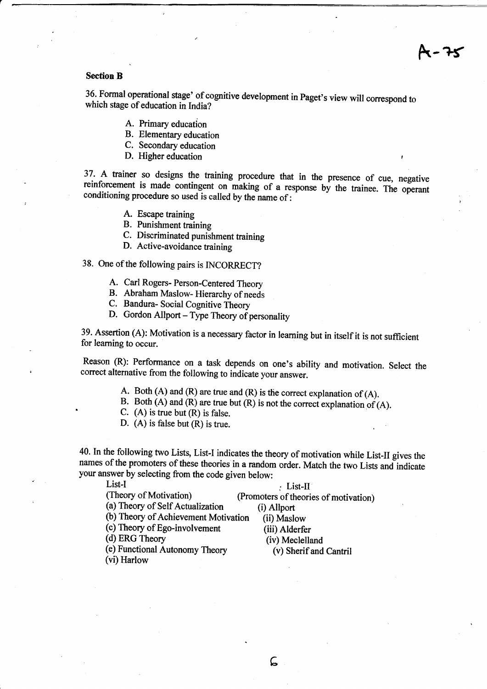#### Section B

36. Formal operational stage' of cognitive development in Paget's view will correspond to which stage of education in India?

- A. Primary education
- B. Elementary education
- C. Secondary education
- D. Higher education

37. A trainer so designs the training procedure that in the presence of cue, negative reinforcement is made contingent on making of a response by the trainee. The operant conditioning procedure so used is called by the nam reinforcement is made contingent on making of a response by the trainee. The operant

- A. Escape training
- B. Punishment training
- C. Discriminated punishment training
- D. Active-avoidance taining
- 38. One of the following pairs is INCORRECT?
	- A. Carl Rogers- Person-Centered Theory
	- B. Abraham Maslow- Hierarchy of needs
	- C. Bandura- Social Cognitive Theory
	- D. Gordon Allport Type Theory of personality

39. Assertion (A): Motivation is a necessary factor in learning but in itself it is not suflicient for leaming to occur.

Reason (R): Performance on a task depends on one's ability and motivation. Select the correct alternative from the following to indicate your answer.

- 
- A. Both (A) and (R) are true and (R) is the correct explanation of (A). B. Both (A) and (R) are true but (R) is not the correct explanation of (A).
- C.  $(A)$  is true but  $(R)$  is false.
- D. (A) is false but (R) is true.

40. In the foilowing two Lists, List-I indicates the theory of motivation while List-II gives the names of the promoters of these theories in a random order. Match the two Lists and indicate your answer by selecting from the code given below:<br>List-II. (Theory of Motivation) (Promoters of theori

(Promoters of theories of motivation)<br>(i) Allport

(a) Theory of Self Actualization

(b) Theory of Achievement Motivation (ii) Maslow (c) Theory of Ego-involvement (iii) Alderfer

(d) ERG Theory (iv) Meclelland

(e) Functional Autonomy Theory

(vi) Harlow

(v) Sherifand Cantril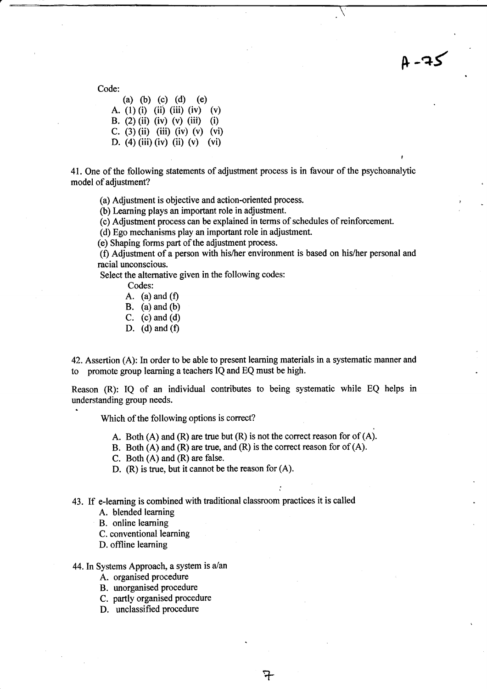Code:

(a) (b) (c) (d) (e) A. (1) (i) (ii) (iii) (iv) (v) B. (2) (ii) (iv) (v) (iii) (i) C. (3) (ii) (iii) (iv) (v) (vi) D. (4) (iii) (iv) (ii) (v) (vi)

41. One of the following statements of adjustment process is in favour of the psychoanalytic model of adjustment?

 $A - 75$ 

(a) Adjustment is objective and action-oriented process.

(b) Learning plays an important role in adjustment.

(c) Adjustment process can be explained in terms of schedules of reinforcement.

(d) Ego mechanisms play an important role in adjustment.

(e) Shaping forms part of the adjustment process.

(f) Adjustment of a person with his/her environment is based on his/her personal and racial unconscious.

Select the alternative given in the following codes:

Codes:

- A. (a) and  $(f)$
- B. (a) and (b)
- C. (c) and (d)
- D. (d) and  $(f)$

42. Assertion (A): In order to be able to present leaming materials in a systematic manner and to promote group learning a teachers IQ and EQ must be high.

Reason (R): IQ of an individual contributes to being systematic while EQ helps in understanding group needs.

Which of the following options is correct?

A. Both  $(A)$  and  $(R)$  are true but  $(R)$  is not the correct reason for of  $(A)$ .

:

7

- B. Both (A) and (R) are true, and (R) is the correct reason for of (A).
- C. Both (A) and (R) are false.
- D. (R) is true, but it cannot be the reason for (A).

43. If e-learning is combined with traditional classroom practices it is called

A. blended learning

- B. online learning
- C. conventional learning
- D. offline learning

44. In Systems Approach, a system is  $a$ /an

- A. organised procedure
- B. unorganised procedure
- C. partly organised procedure
- D. unclassified procedure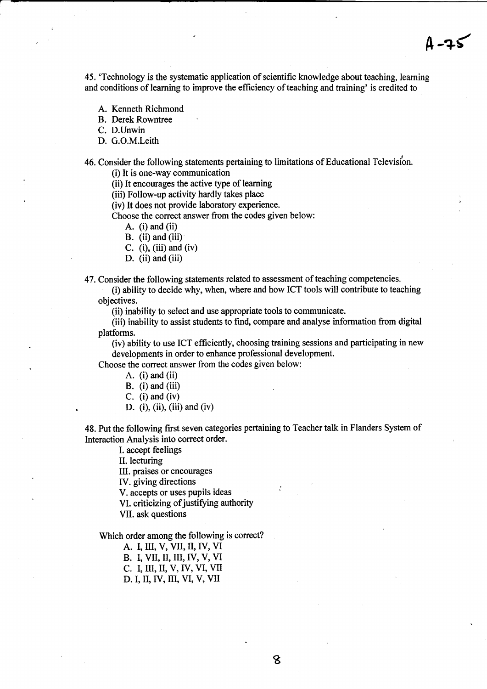45. 'Technology is the systematic application of scientific knowledge about teaching, learning and conditions of learning to improve the efficiency of teaching and training' is credited to

- A. Kenneth Richmond
- B. Derek Rowntree

C, D.Unwin

- D. G.O.M.Leith
- 46. Consider the following statements pertaining to limitations of Educational Televis/on.

(i) It is one-way communioation

(ii) It encourages the active type of leaming

(iii) Follow-up activity hardly takes place

(iv) It does not provide laboratory experience.

Choose the correct answer from the codes given below:

A. (i) and (ii)

B. (ii) and (iii)

C.  $(i)$ ,  $(iii)$  and  $(iv)$ 

- D. (ii) and (iii)
- 47. Consider the following statements related to assessment of teaching competencies.

(i) ability to decide why, when, where and how ICT tools will contribute to teaching objectives.

(ii) inability to select and use appropriate tools to communicate.

(iii) inability to assist students to find, oompare and analyse information from digital platforms.

(iv) ability to use ICT efficiently, choosing training sessions and participating in new developments in order to enhance professional development.

Choose the correct answer from the codes given below:

- A.  $(i)$  and  $(ii)$
- $B.$  (i) and (iii)
- C.  $(i)$  and  $(iv)$
- D. (i), (ii), (iii) and (iv)

48. Put the following first seven categories pertaining to Teacher talk in Flandors System of Interaction Analysis into correct order.

I. accept feelings

II. lecturing

III. praises or encourages

IV. giving directions

V. accepts or uses pupils ideas

VI. criticizing of justifying authority

VII. ask questions

Which order among the following is correct?

A. I, III, V, VII, II, IV, VI

B. I, VII, II, III, IV, V, VI

C. L III, II, V,IV, VI, VII

D. I, II, IV, III, VI, V, VII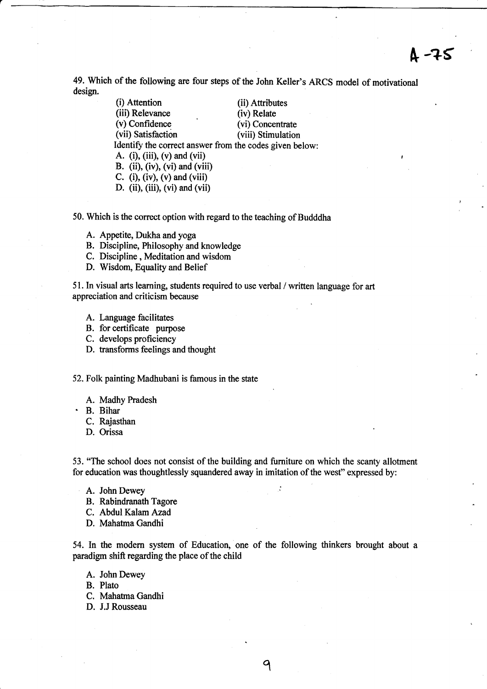# [ -?s

49. Which of the following are four steps of the John Keller's ARCS model of motivational design.

> (i) Attention (ii) Attributes<br>
> (iii) Relevance (iv) Relate (iii) Relevance<br>(v) Confidence (vi) Concentrate<br>(viii) Stimulation (vii) Satisfaction Identify the correct answer from the codes given below: A. (i), (iii), (v) and (vii) B. (ii), (iv), (vi) and (viii) C. (i), (iv), (v) and (viii)

- D. (ii), (iii), (vi) and (vii)
- 50. Which is the correct option with regard to the teaching of Budddha
	- A. Appetite, Dukha and yoga
	- B. Discipline, Philosophy and knowledge
	- C. Discipline , Meditation and wisdom
	- D. Wisdom, Equality and Belief

51. In visual arts learning, students required to use verbal / written language for art appreciation and criticism because

- A. Language facilitates
- B. for certificate purpose
- C. develops proficiency
- D. transforms feelings and thought

52. Folk painting Madhubani is famous in the state

- A. Madhy Pradesh
- ' B. Bihar
	- C. Rajasthan
	- D. Orissa

53. "The school does not consist of the building and furniture on which the scanty allotment for education was thoughtlessly squandered away in imitation of the west" expressed by:

- A. John Dewey
- B. Rabindranath Tagore
- C. Abdul Kalam Azad
- D. Mahatma Gandhi

54. In the modern system of Education, one of the following thinkers brought about a paradigm shift regarding the place of the child

- A. John Dewey
- B. Plato
- C. Mahatrna Gandhi
- D. J.J Rousseau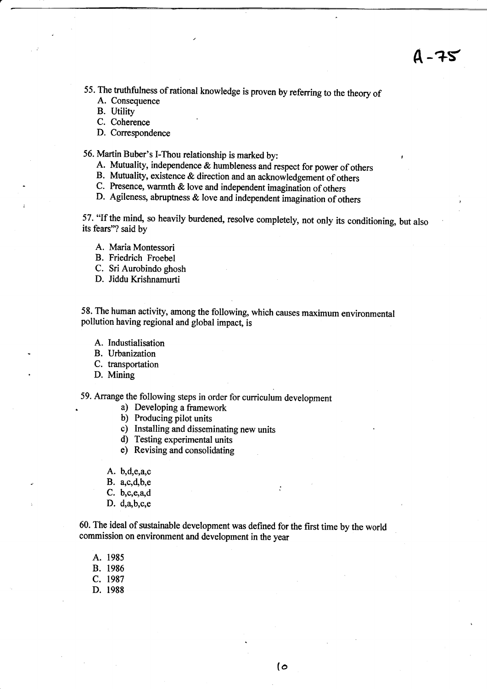4-75

55. The truthfulness of rational knowledge is proven by referring to the theory of A. Consequence

B. Utility

- C. Coherence
- D. Correspondence

56. Martin Buber's l-Thou relationship is marked by: <sup>r</sup>

- A. Mutuality, independence & humbleness and respect for power of others B. Mutuality, existence & direction and an acknowledgement of others
- 
- c. Presence, warmth & love and independent imaginaiion of others
- D. Agileness, abruptness  $\&$  love and independent imagination of others

57. \*If the mind, so heavily burdened, resolve completely, not only its conditioning, but also its fears'? said by

- A. Maria Montessori
- B. Friedrich Froebel
- C. Sri Aurobindo ghosh
- D. Jiddu Krishnamurti

58. The human activity, among the following, which causes maximum environmental pollution having regional and global impact, is

- A. Industialisation
- B. Urbanization
- C. transportation
- D. Mining

59. Arrange the following steps in order for curriculum development

- a) Developing a framework
- b) Producing pilot units
- c) Installing and disseminating new units
- d) Testing experimental units
- e) Revising and consolidating
- A. b,d,e,a,c
- $B. a.c.d.b.e$
- $C. b, c, e, a, d$
- D.  $d, a, b, c, e$

60. The ideal of sustainable development was defined for the first time by the world commission on environment and development in the year

A. <sup>1985</sup> B. <sup>1986</sup> c. <sup>1987</sup> D. <sup>1988</sup>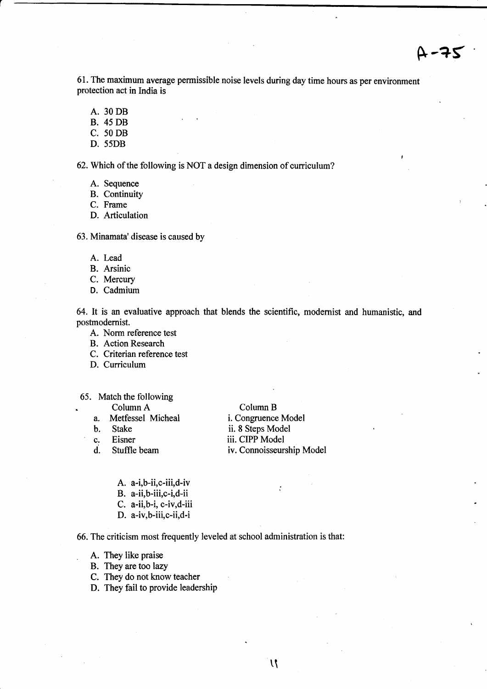61. The maximum average permissible noise levels during day time hours as per environment protection act in India is

- A. 30 DB
- B. 45 DB

C. 50 DB

D. 55DB

62. Which of the following is NOT a design dimension of curriculum?

- A. Sequence
- B. Continuity

C. Frame

D. Articulation

63. Minamata'disease is caused by

- A. Lead
- B. Arsinic
- C. Mercury
- D. Cadmium

64. It is an evaluative approach that blends the scientific, modernist and humanistic, and postmodemist.

A. Norm reference test

B. Action Research

- C. Criterian reference test
- D. Curriculum
- 65. Match the following

Column A Column B<br>a. Metfessel Micheal i. Congruence Metfessel Micheal i. Congruence Model<br>Stake ii. 8 Steps Model b. Stake ii. 8 Steps Model<br>c. Eisner iii. CIPP Model c. Eisner iii. CIPP Model<br>d. Stuffle beam iv. Connoisseurs d. Stuffle beam iv. Connoisseurship Model

ż

- A. a-i,b-ii,c-iii,d-iv
- B. a-ii,b-iii,c-i,d-ii
- C. a-ii,b-i, c-iv,d-iii
- D. a-iv,b-iii,c-ii,d-i

66. The criticism most frequently leveled at school administration is that:

- . A. They like praise
- B. They are too lazy
- C. They do not know teacher
- D. They fail to provide leadership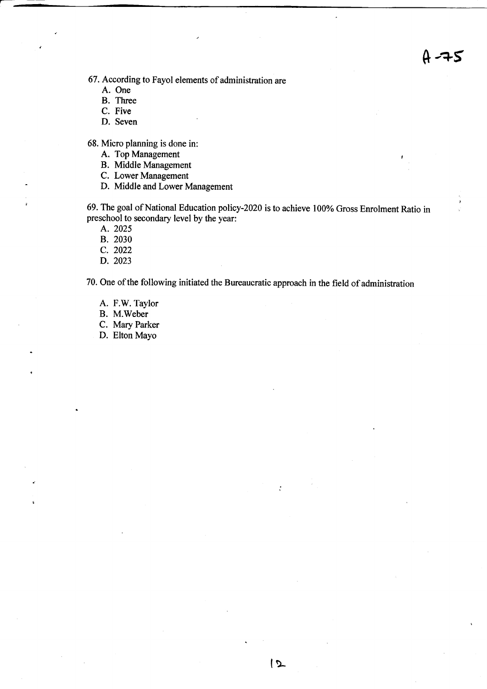$A - 75$ 

67. According to Fayol elements of administration are

- A. One
- B. Three
- C. Five
- D. Seven

68. Micro planning is done in:

- A. Top Management
- B. Middle Management
- C. Lower Management
- D. Middle and Lower Management

69. The goal of National Education policy-2020 is to achieve 100% Gross Enrolment Ratio in preschool to secondary level by the year:

A. 2025

- B. 2030
- c. <sup>2022</sup>
- D.2023

70. One of the following initiated the Bureaucratic approach in the field of administration

 $|2$ 

- A. F.W. Taylor
- B. M.Weber
- C. Mary Parker
- D. Elton Mayo